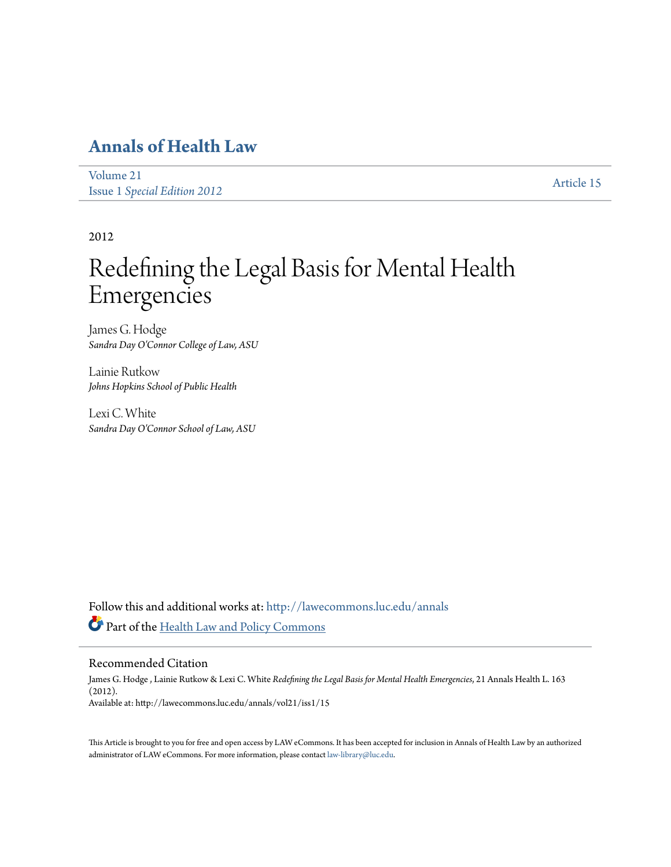## **[Annals of Health Law](http://lawecommons.luc.edu/annals?utm_source=lawecommons.luc.edu%2Fannals%2Fvol21%2Fiss1%2F15&utm_medium=PDF&utm_campaign=PDFCoverPages)**

[Volume 21](http://lawecommons.luc.edu/annals/vol21?utm_source=lawecommons.luc.edu%2Fannals%2Fvol21%2Fiss1%2F15&utm_medium=PDF&utm_campaign=PDFCoverPages) Issue 1 *[Special Edition 2012](http://lawecommons.luc.edu/annals/vol21/iss1?utm_source=lawecommons.luc.edu%2Fannals%2Fvol21%2Fiss1%2F15&utm_medium=PDF&utm_campaign=PDFCoverPages)* [Article 15](http://lawecommons.luc.edu/annals/vol21/iss1/15?utm_source=lawecommons.luc.edu%2Fannals%2Fvol21%2Fiss1%2F15&utm_medium=PDF&utm_campaign=PDFCoverPages)

2012

# Redefining the Legal Basis for Mental Health Emergencies

James G. Hodge *Sandra Day O'Connor College of Law, ASU*

Lainie Rutkow *Johns Hopkins School of Public Health*

Lexi C. White *Sandra Day O'Connor School of Law, ASU*

Follow this and additional works at: [http://lawecommons.luc.edu/annals](http://lawecommons.luc.edu/annals?utm_source=lawecommons.luc.edu%2Fannals%2Fvol21%2Fiss1%2F15&utm_medium=PDF&utm_campaign=PDFCoverPages) Part of the [Health Law and Policy Commons](http://network.bepress.com/hgg/discipline/901?utm_source=lawecommons.luc.edu%2Fannals%2Fvol21%2Fiss1%2F15&utm_medium=PDF&utm_campaign=PDFCoverPages)

### Recommended Citation

James G. Hodge , Lainie Rutkow & Lexi C. White *Redefining the Legal Basis for Mental Health Emergencies*, 21 Annals Health L. 163 (2012). Available at: http://lawecommons.luc.edu/annals/vol21/iss1/15

This Article is brought to you for free and open access by LAW eCommons. It has been accepted for inclusion in Annals of Health Law by an authorized administrator of LAW eCommons. For more information, please contact [law-library@luc.edu](mailto:law-library@luc.edu).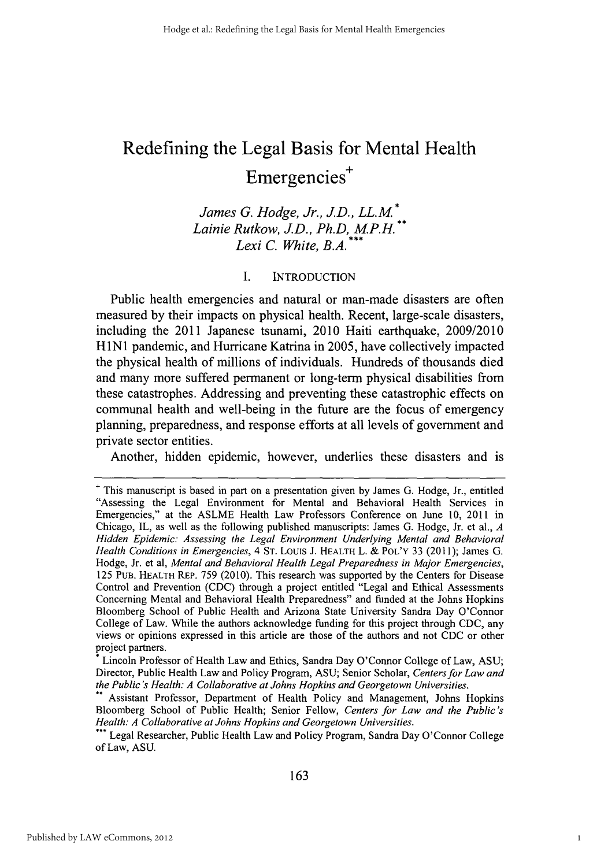# Redefining the Legal Basis for Mental Health Emergencies<sup>+</sup>

*James G. Hodge, Jr., J.D., LL. M Lainie Rutkow, JD., Ph.D, MP.H. Lexi C. White, B.A.*

### **I. INTRODUCTION**

Public health emergencies and natural or man-made disasters are often measured **by** their impacts on physical health. Recent, large-scale disasters, including the 2011 Japanese tsunami, 2010 Haiti earthquake, **2009/2010 HlNI** pandemic, and Hurricane Katrina in **2005,** have collectively impacted the physical health of millions of individuals. Hundreds of thousands died and many more suffered permanent or long-term physical disabilities from these catastrophes. Addressing and preventing these catastrophic effects on communal health and well-being in the future are the focus of emergency planning, preparedness, and response efforts at all levels of government and private sector entities.

Another, hidden epidemic, however, underlies these disasters and is

**<sup>+</sup>** This manuscript is based in part on a presentation given **by** James **G.** Hodge, Jr., entitled "Assessing the Legal Environment for Mental and Behavioral Health Services in Emergencies," at the **ASLME** Health Law Professors Conference on June **10,** 2011 in Chicago, IL, as well as the following published manuscripts: James **G.** Hodge, Jr. et al., *A Hidden Epidemic: Assessing the Legal Environment Underlying Mental and Behavioral Health Conditions in Emergencies, 4* **ST.** Louis **J. HEALTH** L. **& POL'Y 33 (2011);** James **G.** Hodge, Jr. et al, *Mental and Behavioral Health Legal Preparedness in Major Emergencies,* **125** Pun. **HEALTH** REP. **759** (2010). This research was supported **by** the Centers for Disease Control and Prevention **(CDC)** through a project entitled "Legal and Ethical Assessments Concerning Mental and Behavioral Health Preparedness" and funded at the Johns Hopkins Bloomberg School of Public Health and Arizona State University Sandra Day O'Connor College of Law. While the authors acknowledge funding for this project through **CDC,** any views or opinions expressed in this article are those of the authors and not **CDC** or other project partners.

Lincoln Professor of Health Law and Ethics, Sandra Day O'Connor College of Law, **ASU;** Director, Public Health Law and Policy Program, **ASU;** Senior Scholar, *Centers for Law and the Public's Health: A Collaborative at Johns Hopkins and Georgetown Universities.*

Assistant Professor, Department of Health Policy and Management, Johns Hopkins Bloomberg School of Public Health; Senior Fellow, *Centers for Law and the Public's Health: A Collaborative at Johns Hopkins and Georgetown Universities.*

Legal Researcher, Public Health Law and Policy Program, Sandra Day O'Connor College of Law, **ASU.**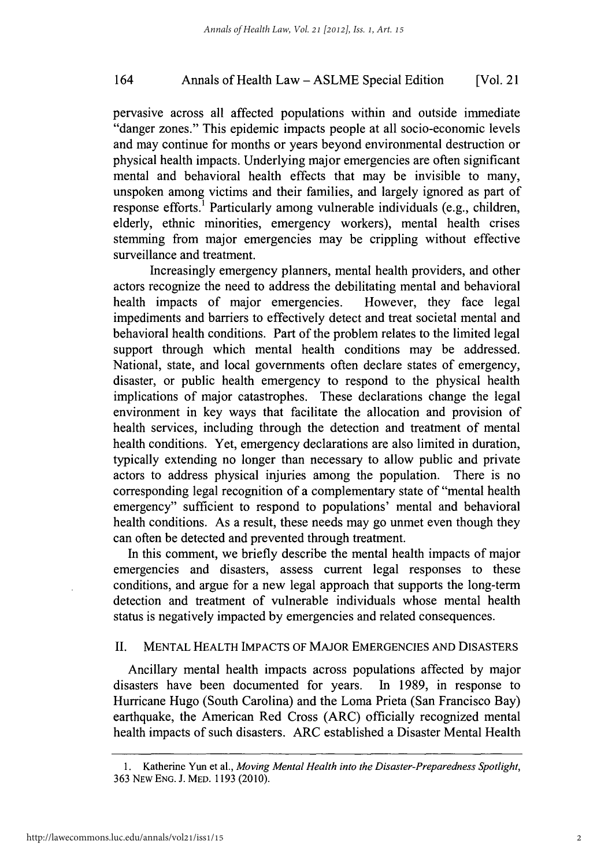### Annals of Health Law **- ASLME** Special Edition 164 [Vol. 21

pervasive across all affected populations within and outside immediate "danger zones." This epidemic impacts people at all socio-economic levels and may continue for months or years beyond environmental destruction or physical health impacts. Underlying major emergencies are often significant mental and behavioral health effects that may be invisible to many, unspoken among victims and their families, and largely ignored as part of response efforts.' Particularly among vulnerable individuals (e.g., children, elderly, ethnic minorities, emergency workers), mental health crises stemming from major emergencies may be crippling without effective surveillance and treatment.

Increasingly emergency planners, mental health providers, and other actors recognize the need to address the debilitating mental and behavioral health impacts of major emergencies. However, they face legal impediments and barriers to effectively detect and treat societal mental and behavioral health conditions. Part of the problem relates to the limited legal support through which mental health conditions may be addressed. National, state, and local governments often declare states of emergency, disaster, or public health emergency to respond to the physical health implications of major catastrophes. These declarations change the legal environment in key ways that facilitate the allocation and provision of health services, including through the detection and treatment of mental health conditions. Yet, emergency declarations are also limited in duration, typically extending no longer than necessary to allow public and private actors to address physical injuries among the population. There is no corresponding legal recognition of a complementary state of "mental health emergency" sufficient to respond to populations' mental and behavioral health conditions. As a result, these needs may go unmet even though they can often be detected and prevented through treatment.

In this comment, we briefly describe the mental health impacts of major emergencies and disasters, assess current legal responses to these conditions, and argue for a new legal approach that supports the long-term detection and treatment of vulnerable individuals whose mental health status is negatively impacted **by** emergencies and related consequences.

### **II. MENTAL** HEALTH **IMPACTS** OF MAJOR **EMERGENCIES AND DISASTERS**

Ancillary mental health impacts across populations affected **by** major disasters have been documented for years. In **1989,** in response to Hurricane Hugo (South Carolina) and the Loma Prieta (San Francisco Bay) earthquake, the American Red Cross (ARC) officially recognized mental health impacts of such disasters. ARC established a Disaster Mental Health

**<sup>1.</sup>** Katherine Yun et al., *Moving Mental Health into the Disaster-Preparedness Spotlight,* **363** NEW **ENG. J.** MED. **1193 (2010).**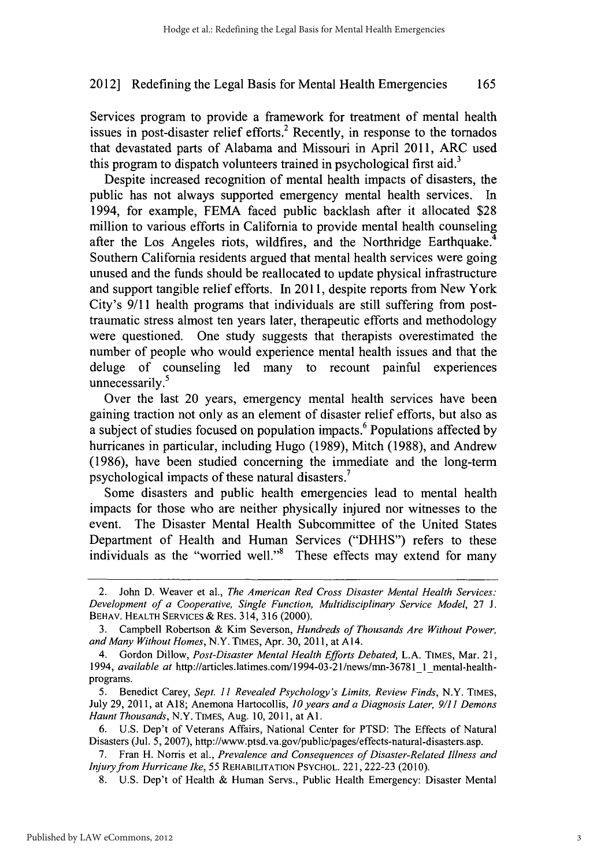Services program to provide a framework for treatment of mental health issues in post-disaster relief efforts.<sup>2</sup> Recently, in response to the tornados that devastated parts of Alabama and Missouri in April 2011, ARC used this program to dispatch volunteers trained in psychological first aid.<sup>3</sup>

Despite increased recognition of mental health impacts of disasters, the public has not always supported emergency mental health services. In 1994, for example, **FEMA** faced public backlash after it allocated **\$28** million to various efforts in California to provide mental health counseling after the Los Angeles riots, wildfires, and the Northridge Earthquake. Southern California residents argued that mental health services were going unused and the funds should be reallocated to update physical infrastructure and support tangible relief efforts. In **2011,** despite reports from New York City's **9/11** health programs that individuals are still suffering from posttraumatic stress almost ten years later, therapeutic efforts and methodology were questioned. One study suggests that therapists overestimated the number of people who would experience mental health issues and that the deluge of counseling led many to recount painful experiences unnecessarily.<sup>5</sup>

Over the last 20 years, emergency mental health services have been gaining traction not only as an element of disaster relief efforts, but also as a subject of studies focused on population impacts.6 Populations affected **by** hurricanes in particular, including Hugo **(1989),** Mitch **(1988),** and Andrew **(1986),** have been studied concerning the immediate and the long-term psychological impacts of these natural disasters.

Some disasters and public health emergencies lead to mental health impacts for those who are neither physically injured nor witnesses to the event. The Disaster Mental Health Subcommittee of the United States Department of Health and Human Services **("DHHS")** refers to these individuals as the "worried well."<sup>8</sup> These effects may extend for many

**5.** Benedict Carey, *Sept. 11 Revealed Psychology's Limits, Review Finds,* N.Y. **TIMES,** July **29,** 2011, at **A18;** Anemona Hartocollis, *10 years anda Diagnosis Later, 9/11 Demons Haunt Thousands,* N.Y. **TIMES,** Aug. **10, 2011,** at **Al.**

**6. U.S.** Dep't of Veterans Affairs, National Center for **PTSD:** The Effects of Natural Disasters (Jul. **5, 2007),** http://www.ptsd.va.gov/public/pages/effects-natural-disasters.asp.

**7.** Fran H. Norris et al., *Prevalence and Consequences of Disaster-Related Illness and Injury from Hurricane Ike, 55* **REHABILITATION PSYCHOL.** 221, **222-23 (2010).**

**8. U.S.** Dep't of Health **&** Human Servs., Public Health Emergency: Disaster Mental

<sup>2.</sup> John **D.** Weaver et al., *The American Red Cross Disaster Mental Health Services: Development of a Cooperative, Single Function, Multidisciplinary Service Model,* **27 J. BEHAV. HEALTH SERVICES &** REs. 314, **316** (2000).

**<sup>3.</sup>** Campbell Robertson **&** Kim Severson, *Hundreds of Thousands Are Without Power, and Many Without Homes,* N.Y. **TIMES,** Apr. **30, 2011,** at A14.

*<sup>4.</sup>* Gordon Dillow, *Post-Disaster Mental Health Efforts Debated,* **L.A. TIMES,** Mar. 21, *1994, available at* http://articles.latimes.com/1994-03-21/news/mn-36781\_1-mental-healthprograms.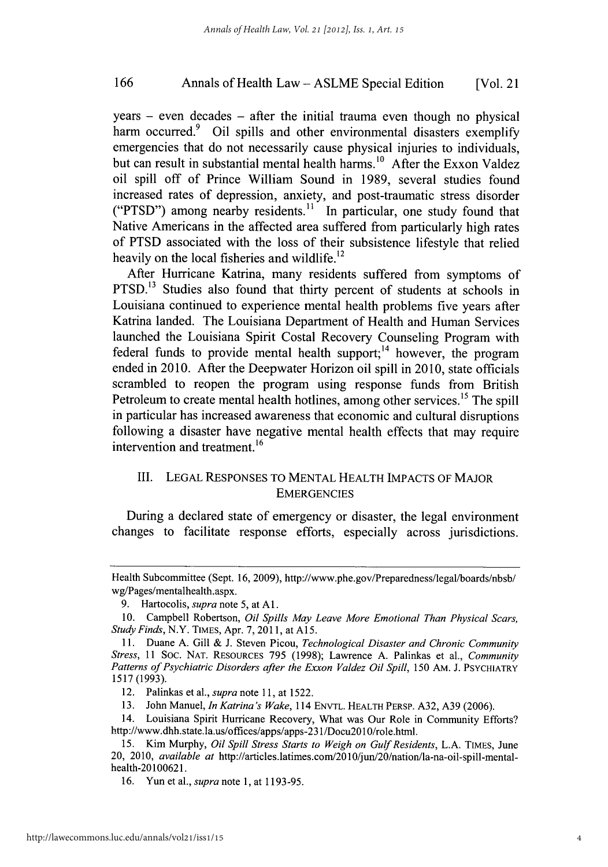### Annals of Health Law **- ASLME** Special Edition **166** [Vol. 21

years **-** even decades **-** after the initial trauma even though no physical harm occurred.<sup>9</sup> Oil spills and other environmental disasters exemplify emergencies that do not necessarily cause physical injuries to individuals, but can result in substantial mental health harms.<sup>10</sup> After the Exxon Valdez oil spill off of Prince William Sound in **1989,** several studies found increased rates of depression, anxiety, and post-traumatic stress disorder **("PTSD")** among nearby residents." In particular, one study found that Native Americans in the affected area suffered from particularly high rates of **PTSD** associated with the loss of their subsistence lifestyle that relied heavily on the local fisheries and wildlife.<sup>12</sup>

After Hurricane Katrina, many residents suffered from symptoms of PTSD.<sup>13</sup> Studies also found that thirty percent of students at schools in Louisiana continued to experience mental health problems five years after Katrina landed. The Louisiana Department of Health and Human Services launched the Louisiana Spirit Costal Recovery Counseling Program with federal funds to provide mental health support; $14$  however, the program ended in **2010.** After the Deepwater Horizon oil spill in **2010,** state officials scrambled to reopen the program using response funds from British Petroleum to create mental health hotlines, among other services.<sup>15</sup> The spill in particular has increased awareness that economic and cultural disruptions following a disaster have negative mental health effects that may require intervention and treatment.<sup>16</sup>

### III. **LEGAL RESPONSES** TO **MENTAL** HEALTH **IMPACTS** OF MAJOR **EMERGENCIES**

During a declared state of emergency or disaster, the legal environment changes to facilitate response efforts, especially across jurisdictions.

12. Palinkas et al., *supra note* **11,** at **1522.**

**13.** John Manuel, *In Katrina's Wake,* 114 **ENVTL. HEALTH PERSP. A32, A39 (2006).**

14. Louisiana Spirit Hurricane Recovery, What was Our Role in Community Efforts? http://www.dhh.state.la.us/offices/apps/apps-231/Docu2Ol0/role.html.

**16.** Yun et al., *supra* note **1,** at **1193-95.**

Health Subcommittee (Sept. **16, 2009),** http://www.phe.gov/Preparedness/legal/boards/nbsb/ wg/Pages/mentalhealth.aspx.

**<sup>9.</sup>** Hartocolis, *supra* note **5,** at **Al.**

**<sup>10.</sup>** Campbell Robertson, *Oil Spills May Leave More Emotional Than Physical Scars, Study Finds,* N.Y. **TIMES,** Apr. **7, 2011,** at *A15.*

**<sup>11.</sup>** Duane **A.** Gill **& J.** Steven Picou, *Technological Disaster and Chronic Community Stress, 11* Soc. **NAT. RESOURCES 795 (1998);** Lawrence **A.** Palinkas et al., *Community Patterns of Psychiatric Disorders after the Exxon Valdez Oil Spill, 150* AM. **J. PSYCHIATRY 1517 (1993).**

**<sup>15.</sup>** Kim Murphy, *Oil Spill Stress Starts to Weigh on Gulf Residents,* **L.A. TIMES,** June 20, 2010, *available at* http://articles.latimes.com/2010/jun/20/nation/la-na-oil-spill-mentalhealth-20100621.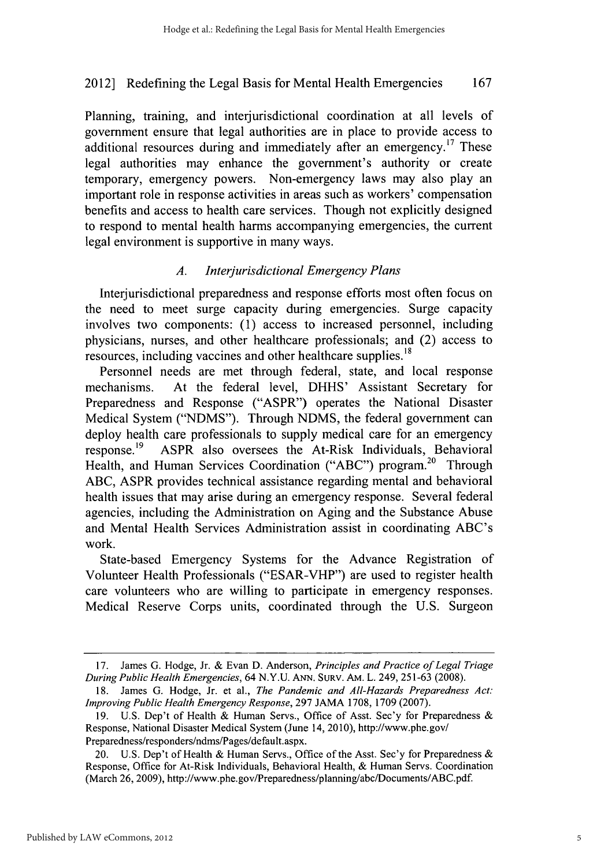Planning, training, and interjurisdictional coordination at all levels of government ensure that legal authorities are in place to provide access to additional resources during and immediately after an emergency.<sup>17</sup> These legal authorities may enhance the government's authority or create temporary, emergency powers. Non-emergency laws may also play an important role in response activities in areas such as workers' compensation benefits and access to health care services. Though not explicitly designed to respond to mental health harms accompanying emergencies, the current legal environment is supportive in many ways.

### *A. Interjurisdictional Emergency Plans*

Interjurisdictional preparedness and response efforts most often focus on the need to meet surge capacity during emergencies. Surge capacity involves two components: **(1)** access to increased personnel, including physicians, nurses, and other healthcare professionals; and (2) access to resources, including vaccines and other healthcare supplies.<sup>18</sup>

Personnel needs are met through federal, state, and local response mechanisms. At the federal level, **DHHS'** Assistant Secretary for Preparedness and Response ("ASPR") operates the National Disaster Medical System **("NDMS").** Through **NDMS,** the federal government can deploy health care professionals to supply medical care for an emergency response.19 ASPR also oversees the At-Risk Individuals, Behavioral Health, and Human Services Coordination ("ABC") program.<sup>20</sup> Through **ABC,** ASPR provides technical assistance regarding mental and behavioral health issues that may arise during an emergency response. Several federal agencies, including the Administration on Aging and the Substance Abuse and Mental Health Services Administration assist in coordinating ABC's work.

State-based Emergency Systems for the Advance Registration of Volunteer Health Professionals ("ESAR-VHP") are used to register health care volunteers who are willing to participate in emergency responses. Medical Reserve Corps units, coordinated through the **U.S.** Surgeon

**<sup>17.</sup>** James *G.* Hodge, Jr. *&* Evan **D.** Anderson, *Principles and Practice of Legal Triage During Public Health Emergencies,* 64 **N.Y.U. ANN. SURV.** AM. L. 249, **251-63 (2008).**

**<sup>18.</sup>** James *G.* Hodge, Jr. et al., *The Pandemic and All-Hazards Preparedness Act: Improving Public Health Emergency Response,* **297 JAMA 1708, 1709 (2007).**

**<sup>19.</sup> U.S.** Dep't of Health **&** Human Servs., Office of Asst. Sec'y for Preparedness **&** Response, National Disaster Medical System (June 14, 2010), http://www.phe.gov/ Preparedness/responders/ndms/Pages/default.aspx.

<sup>20.</sup> **U.S.** Dep't of Health **&** Human Servs., Office of the Asst. Sec'y for Preparedness & Response, Office for At-Risk Individuals, Behavioral Health, **&** Human Serys. Coordination (March **26, 2009),** http://www.phe.gov/Preparedness/planning/abc/Documents/ABC.pdf.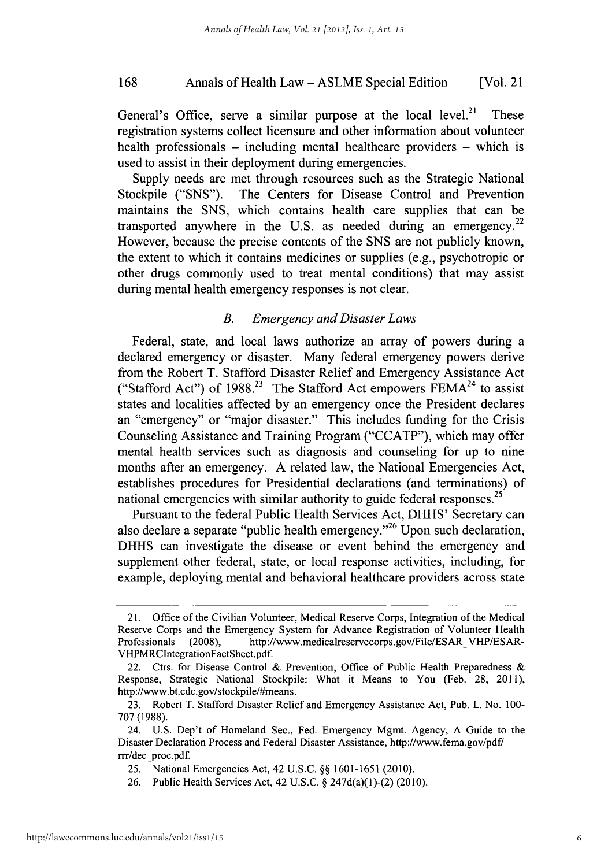### Annals of Health Law **- ASLME** Special Edition **168** [Vol. 21

General's Office, serve a similar purpose at the local level.<sup>21</sup> These registration systems collect licensure and other information about volunteer health professionals **-** including mental healthcare providers **-** which is used to assist in their deployment during emergencies.

Supply needs are met through resources such as the Strategic National Stockpile **("SNS").** The Centers for Disease Control and Prevention maintains the **SNS,** which contains health care supplies that can be transported anywhere in the U.S. as needed during an emergency.<sup>22</sup> However, because the precise contents of the **SNS** are not publicly known, the extent to which it contains medicines or supplies (e.g., psychotropic or other drugs commonly used to treat mental conditions) that may assist during mental health emergency responses is not clear.

### *B. Emergency and Disaster Laws*

Federal, state, and local laws authorize an array of powers during a declared emergency or disaster. Many federal emergency powers derive from the Robert T. Stafford Disaster Relief and Emergency Assistance Act ("Stafford Act") of **1988.23** The Stafford Act empowers **FEMA24** to assist states and localities affected **by** an emergency once the President declares an "emergency" or "major disaster." This includes funding for the Crisis Counseling Assistance and Training Program **("CCATP"),** which may offer mental health services such as diagnosis and counseling for up to nine months after an emergency. **A** related law, the National Emergencies Act, establishes procedures for Presidential declarations (and terminations) of national emergencies with similar authority to guide federal responses.<sup>25</sup>

Pursuant to the federal Public Health Services Act, **DHHS'** Secretary can also declare a separate "public health emergency."<sup>26</sup> Upon such declaration, **DHHS** can investigate the disease or event behind the emergency and supplement other federal, state, or local response activities, including, for example, deploying mental and behavioral healthcare providers across state

<sup>21.</sup> Office of the Civilian Volunteer, Medical Reserve Corps, Integration of the Medical Reserve Corps and the Emergency System for Advance Registration of Volunteer Health Professionals (2008), http://www.medicalreservecorps.gov/File/ESAR VHP/ESAR-VHPMRCintegrationFactSheet.pdf.

<sup>22.</sup> Ctrs. for Disease Control **&** Prevention, Office of Public Health Preparedness **&** Response, Strategic National Stockpile: What it Means to You (Feb. **28, 2011),** http://www.bt.cdc.gov/stockpile/#means.

**<sup>23.</sup>** Robert T. Stafford Disaster Relief and Emergency Assistance Act, Pub. L. No. **100- 707 (1988).**

<sup>24.</sup> **U.S.** Dep't of Homeland Sec., Fed. Emergency Mgmt. Agency, **A** Guide to the Disaster Declaration Process and Federal Disaster Assistance, http://www.fema.gov/pdf/ rrr/dec proc.pdf.

**<sup>25.</sup>** National Emergencies Act, 42 **U.S.C. §§ 1601-1651** (2010).

**<sup>26.</sup>** Public Health Services Act, 42 **U.S.C. §** 247d(a)(1)-(2) **(2010).**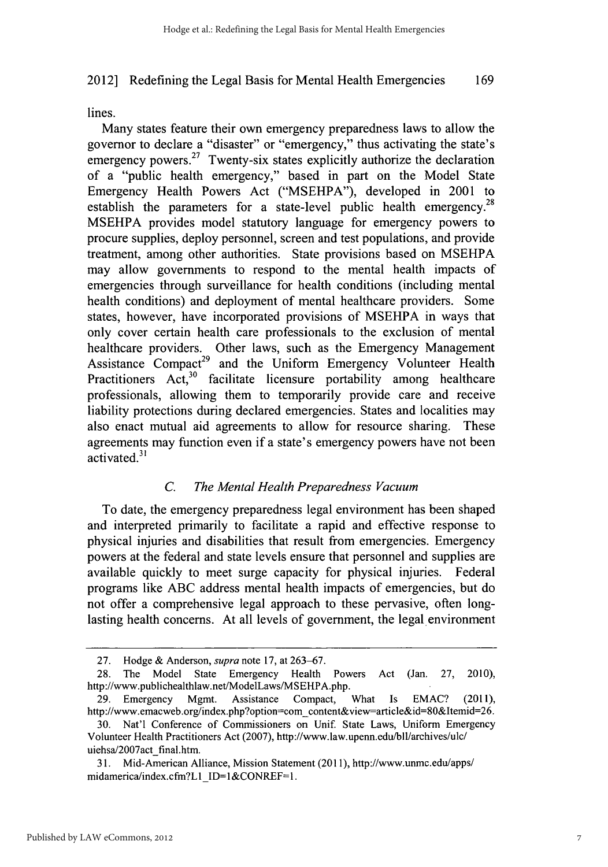lines.

Many states feature their own emergency preparedness laws to allow the governor to declare a "disaster" or "emergency," thus activating the state's emergency powers.<sup>27</sup> Twenty-six states explicitly authorize the declaration of a "public health emergency," based in part on the Model State Emergency Health Powers Act **("MSEHPA"),** developed in 2001 to establish the parameters for a state-level public health emergency.<sup>28</sup> **MSEHPA** provides model statutory language for emergency powers to procure supplies, deploy personnel, screen and test populations, and provide treatment, among other authorities. State provisions based on **MSEHPA** may allow governments to respond to the mental health impacts of emergencies through surveillance for health conditions (including mental health conditions) and deployment of mental healthcare providers. Some states, however, have incorporated provisions of **MSEHPA** in ways that only cover certain health care professionals to the exclusion of mental healthcare providers. Other laws, such as the Emergency Management Assistance Compact<sup>29</sup> and the Uniform Emergency Volunteer Health Practitioners Act,<sup>30</sup> facilitate licensure portability among healthcare professionals, allowing them to temporarily provide care and receive liability protections during declared emergencies. States and localities may also enact mutual aid agreements to allow for resource sharing. These agreements may function even if a state's emergency powers have not been activated. $31$ 

### *C. The Mental Health Preparedness Vacuum*

To date, the emergency preparedness legal environment has been shaped and interpreted primarily to facilitate a rapid and effective response to physical injuries and disabilities that result from emergencies. Emergency powers at the federal and state levels ensure that personnel and supplies are available quickly to meet surge capacity for physical injuries. Federal programs like **ABC** address mental health impacts of emergencies, but do not offer a comprehensive legal approach to these pervasive, often longlasting health concerns. At all levels of government, the legal environment

**<sup>27.</sup>** Hodge **&** Anderson, *supra* note **17,** at **263-67.**

**<sup>28.</sup>** The Model State Emergency Health Powers Act (Jan. **27,** 2010), http://www.publichealthlaw.net/ModelLaws/MSEHPA.php.

**<sup>29.</sup>** Emergency Mgmt. Assistance Compact, What Is **EMAC?** (2011), http://www.emacweb.org/index.php?option=com content&view-article&id=80&Itemid=26.

**<sup>30.</sup>** Nat'l Conference of Commissioners on Unif. State Laws, Uniform Emergency Volunteer Health Practitioners Act **(2007),** http://www.law.upenn.edubIlI/archives/ulc/ uiehsa/2007act final.htm.

**<sup>31.</sup>** Mid-American Alliance, Mission Statement **(2011),** http://www.unmc.edu/apps/ midamerica/index.cfm?L1 **ID=1&CONREF=1.**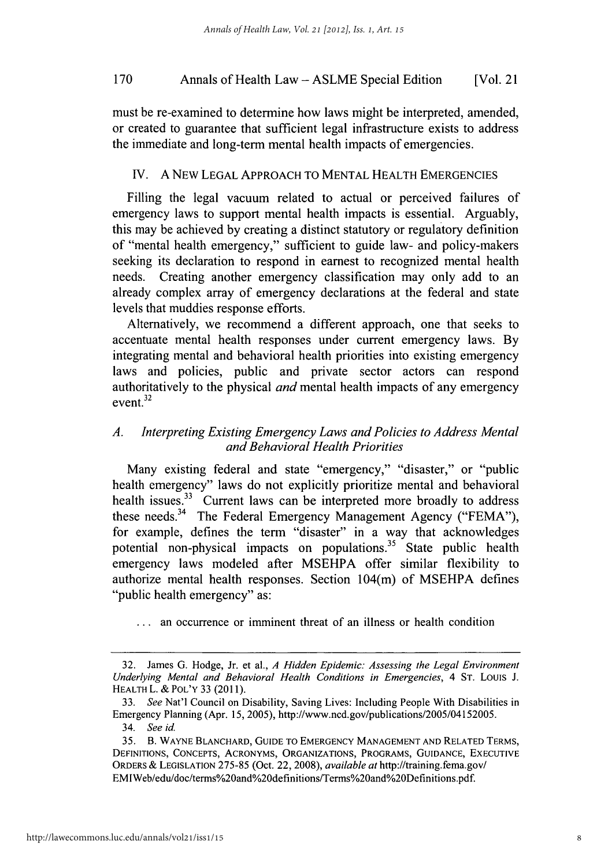### Annals of Health Law **- ASLME** Special Edition **170** [Vol. 21

must be re-examined to determine how laws might be interpreted, amended, or created to guarantee that sufficient legal infrastructure exists to address the immediate and long-term mental health impacts of emergencies.

### **IV. A** NEW **LEGAL** APPROACH TO **MENTAL** HEALTH **EMERGENCIES**

Filling the legal vacuum related to actual or perceived failures of emergency laws to support mental health impacts is essential. Arguably, this may be achieved **by** creating a distinct statutory or regulatory definition of "mental health emergency," sufficient to guide law- and policy-makers seeking its declaration to respond in earnest to recognized mental health needs. Creating another emergency classification may only add to an already complex array of emergency declarations at the federal and state levels that muddies response efforts.

Alternatively, we recommend a different approach, one that seeks to accentuate mental health responses under current emergency laws. **By** integrating mental and behavioral health priorities into existing emergency laws and policies, public and private sector actors can respond authoritatively to the physical *and* mental health impacts of any emergency event.<sup>32</sup>

### *A. Interpreting Existing Emergency Laws and Policies to Address Mental and Behavioral Health Priorities*

Many existing federal and state "emergency," "disaster," or "public health emergency" laws do not explicitly prioritize mental and behavioral health issues.<sup>33</sup> Current laws can be interpreted more broadly to address these needs.34 The Federal Emergency Management Agency **("FEMA"),** for example, defines the term "disaster" in a way that acknowledges potential non-physical impacts on populations.<sup>35</sup> State public health emergency laws modeled after **MSEHPA** offer similar flexibility to authorize mental health responses. Section 104(m) of **MSEHPA** defines "public health emergency" as:

**<sup>...</sup>** an occurrence or imminent threat of an illness or health condition

**<sup>32.</sup>** James **G.** Hodge, Jr. et al., *A Hidden Epidemic: Assessing the Legal Environment Underlying Mental and Behavioral Health Conditions in Emergencies, 4* **ST.** Louis **J. HEALTH** L. **& POL'Y 33 (2011).**

*<sup>33.</sup> See* Nat'1 Council on Disability, Saving Lives: Including People With Disabilities in Emergency Planning (Apr. **15, 2005),** *http://www.ncd.gov/publications/2005/04152005. 34. See id.*

**<sup>35.</sup>** B. **WAYNE BLANCHARD, GUIDE TO EMERGENCY MANAGEMENT AND RELATED TERMS, DEFINITIONS, CONCEPTS, ACRONYMS, ORGANIZATIONS, PROGRAMS, GUIDANCE, EXECUTIVE ORDERS & LEGISLATION 275-85** (Oct. 22, **2008),** *available at* http://training.fema.gov/ EMIWeb/edu/doc/terms%20and%20definitions/Terms%20and%20Definitions.pdf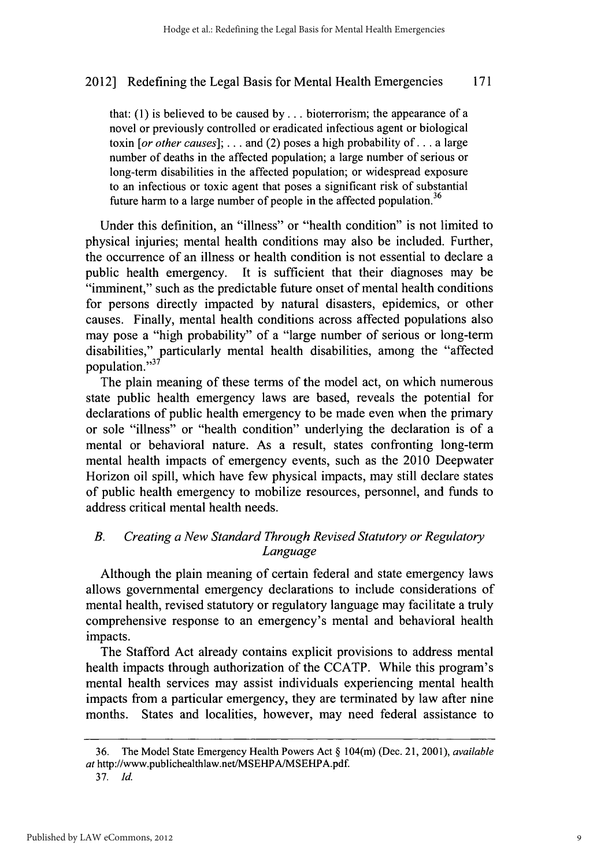that: **(1)** is believed to be caused **by . ..** bioterrorism; the appearance of a novel or previously controlled or eradicated infectious agent or biological toxin *[or other causes];* **.** . **.** and (2) poses a high probability of **. ..** a large number of deaths in the affected population; a large number of serious or long-term disabilities in the affected population; or widespread exposure to an infectious or toxic agent that poses a significant risk of substantial future harm to a large number of people in the affected population.<sup>36</sup>

Under this definition, an "illness" or "health condition" is not limited to physical injuries; mental health conditions may also be included. Further, the occurrence of an illness or health condition is not essential to declare a public health emergency. It is sufficient that their diagnoses may be "imminent," such as the predictable future onset of mental health conditions for persons directly impacted **by** natural disasters, epidemics, or other causes. Finally, mental health conditions across affected populations also may pose a "high probability" of a "large number of serious or long-term disabilities," particularly mental health disabilities, among the "affected population."37

The plain meaning of these terms of the model act, on which numerous state public health emergency laws are based, reveals the potential for declarations of public health emergency to be made even when the primary or sole "illness" or "health condition" underlying the declaration is of a mental or behavioral nature. As a result, states confronting long-term mental health impacts of emergency events, such as the 2010 Deepwater Horizon oil spill, which have few physical impacts, may still declare states of public health emergency to mobilize resources, personnel, and funds to address critical mental health needs.

### *B. Creating a New Standard Through Revised Statutory or Regulatory Language*

Although the plain meaning of certain federal and state emergency laws allows governmental emergency declarations to include considerations of mental health, revised statutory or regulatory language may facilitate a truly comprehensive response to an emergency's mental and behavioral health impacts.

The Stafford Act already contains explicit provisions to address mental health impacts through authorization of the **CCATP.** While this program's mental health services may assist individuals experiencing mental health impacts from a particular emergency, they are terminated **by** law after nine months. States and localities, however, may need federal assistance to

**<sup>36.</sup>** The Model State Emergency Health Powers Act **§** 104(m) (Dec. 21, 2001), *available at* http://www.publichealthlaw.net/MSEHPA/MSEHPA.pdf.

**<sup>37.</sup>** *Id.*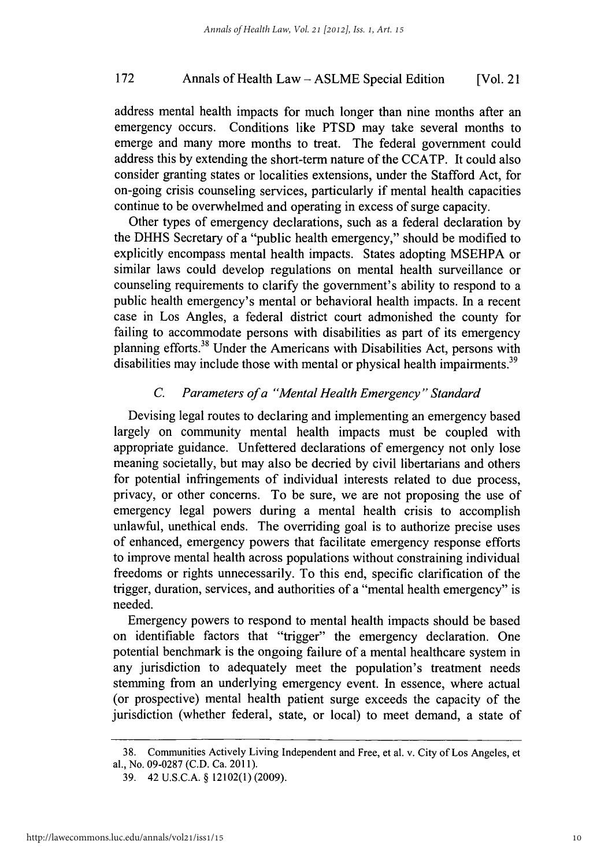### Annals of Health Law **- ASLME** Special Edition **172** [Vol. 21

address mental health impacts for much longer than nine months after an emergency occurs. Conditions like **PTSD** may take several months to emerge and many more months to treat. The federal government could address this **by** extending the short-term nature of the **CCATP.** It could also consider granting states or localities extensions, under the Stafford Act, for on-going crisis counseling services, particularly if mental health capacities continue to be overwhelmed and operating in excess of surge capacity.

Other types of emergency declarations, such as a federal declaration **by** the **DHHS** Secretary of a "public health emergency," should be modified to explicitly encompass mental health impacts. States adopting **MSEHPA** or similar laws could develop regulations on mental health surveillance or counseling requirements to clarify the government's ability to respond to a public health emergency's mental or behavioral health impacts. In a recent case in Los Angles, a federal district court admonished the county for failing to accommodate persons with disabilities as part of its emergency planning efforts.<sup>38</sup> Under the Americans with Disabilities Act, persons with disabilities may include those with mental or physical health impairments.<sup>39</sup>

### *C. Parameters of a "Mental Health Emergency" Standard*

Devising legal routes to declaring and implementing an emergency based largely on community mental health impacts must be coupled with appropriate guidance. Unfettered declarations of emergency not only lose meaning societally, but may also be decried **by** civil libertarians and others for potential infringements of individual interests related to due process, privacy, or other concerns. To be sure, we are not proposing the use of emergency legal powers during a mental health crisis to accomplish unlawful, unethical ends. The overriding goal is to authorize precise uses of enhanced, emergency powers that facilitate emergency response efforts to improve mental health across populations without constraining individual freedoms or rights unnecessarily. To this end, specific clarification of the trigger, duration, services, and authorities of a "mental health emergency" is needed.

Emergency powers to respond to mental health impacts should be based on identifiable factors that "trigger" the emergency declaration. One potential benchmark is the ongoing failure of a mental healthcare system in any iurisdiction to adequately meet the population's treatment needs stemming from an underlying emergency event. In essence, where actual (or prospective) mental health patient surge exceeds the capacity of the jurisdiction (whether federal, state, or local) to meet demand, a state of

**<sup>38.</sup>** Communities Actively Living Independent and Free, et al. v. City of Los Angeles, et al., No. **09-0287 (C.D.** Ca. **2011).**

**<sup>39.</sup>** 42 **U.S.C.A. §** 12102(1) **(2009).**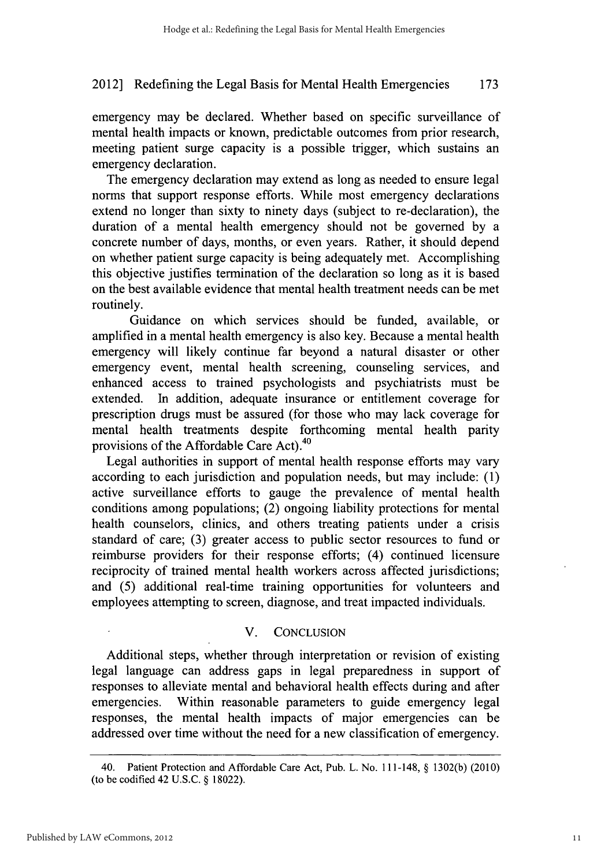emergency may be declared. Whether based on specific surveillance of mental health impacts or known, predictable outcomes from prior research, meeting patient surge capacity is a possible trigger, which sustains an emergency declaration.

The emergency declaration may extend as long as needed to ensure legal norms that support response efforts. While most emergency declarations extend no longer than sixty to ninety days (subject to re-declaration), the duration of a mental health emergency should not be governed **by** a concrete number of days, months, or even years. Rather, it should depend on whether patient surge capacity is being adequately met. Accomplishing this objective justifies termination of the declaration so long as it is based on the best available evidence that mental health treatment needs can be met routinely.

Guidance on which services should be funded, available, or amplified in a mental health emergency is also key. Because a mental health emergency will likely continue far beyond a natural disaster or other emergency event, mental health screening, counseling services, and enhanced access to trained psychologists and psychiatrists must be extended. In addition, adequate insurance or entitlement coverage for prescription drugs must be assured (for those who may lack coverage for mental health treatments despite forthcoming mental health parity provisions of the Affordable Care Act).<sup>40</sup>

Legal authorities in support of mental health response efforts may vary according to each jurisdiction and population needs, but may include: **(1)** active surveillance efforts to gauge the prevalence of mental health conditions among populations; (2) ongoing liability protections for mental health counselors, clinics, and others treating patients under a crisis standard of care; **(3)** greater access to public sector resources to fund or reimburse providers for their response efforts; (4) continued licensure reciprocity of trained mental health workers across affected jurisdictions; and **(5)** additional real-time training opportunities for volunteers and employees attempting to screen, diagnose, and treat impacted individuals.

### V. **CONCLUSION**

Additional steps, whether through interpretation or revision of existing legal language can address gaps in legal preparedness in support of responses to alleviate mental and behavioral health effects during and after emergencies. Within reasonable parameters to guide emergency legal responses, the mental health impacts of major emergencies can be addressed over time without the need for a new classification of emergency.

<sup>40.</sup> Patient Protection and Affordable Care Act, Pub. L. No. 111-148, **§ 1302(b)** (2010) (to **be** codified 42 **U.S.C. § 18022).**